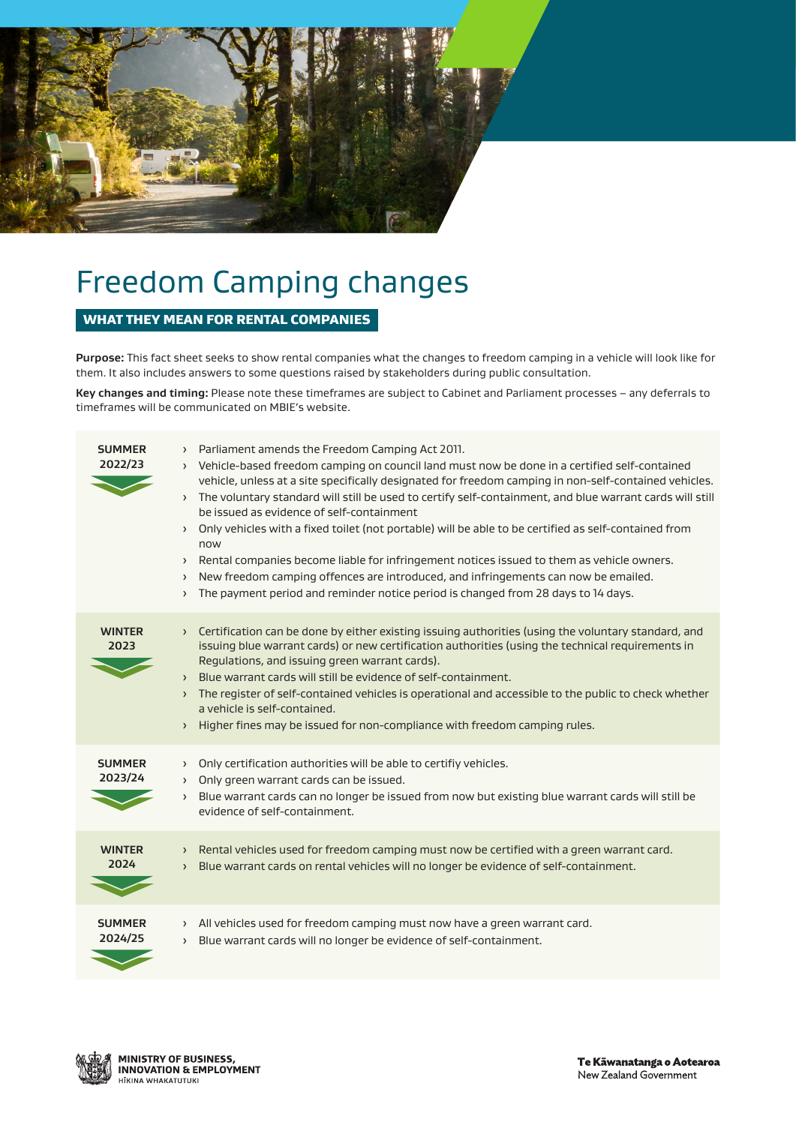

# Freedom Camping changes

### WHAT THEY MEAN FOR RENTAL COMPANIES

**Purpose:** This fact sheet seeks to show rental companies what the changes to freedom camping in a vehicle will look like for them. It also includes answers to some questions raised by stakeholders during public consultation.

**Key changes and timing:** Please note these timeframes are subject to Cabinet and Parliament processes – any deferrals to timeframes will be communicated on MBIE's website.

| <b>SUMMER</b><br>2022/23 | > Parliament amends the Freedom Camping Act 2011.<br>> Vehicle-based freedom camping on council land must now be done in a certified self-contained<br>vehicle, unless at a site specifically designated for freedom camping in non-self-contained vehicles.<br>> The voluntary standard will still be used to certify self-containment, and blue warrant cards will still<br>be issued as evidence of self-containment<br>Only vehicles with a fixed toilet (not portable) will be able to be certified as self-contained from<br>$\rightarrow$<br>now<br>> Rental companies become liable for infringement notices issued to them as vehicle owners.<br>New freedom camping offences are introduced, and infringements can now be emailed.<br>$\rightarrow$<br>The payment period and reminder notice period is changed from 28 days to 14 days.<br>$\left( \right)$ |
|--------------------------|------------------------------------------------------------------------------------------------------------------------------------------------------------------------------------------------------------------------------------------------------------------------------------------------------------------------------------------------------------------------------------------------------------------------------------------------------------------------------------------------------------------------------------------------------------------------------------------------------------------------------------------------------------------------------------------------------------------------------------------------------------------------------------------------------------------------------------------------------------------------|
| <b>WINTER</b><br>2023    | Certification can be done by either existing issuing authorities (using the voluntary standard, and<br>$\left( \right)$<br>issuing blue warrant cards) or new certification authorities (using the technical requirements in<br>Regulations, and issuing green warrant cards).<br>Blue warrant cards will still be evidence of self-containment.<br>$\sum$<br>The register of self-contained vehicles is operational and accessible to the public to check whether<br>$\left( \right)$<br>a vehicle is self-contained.<br>Higher fines may be issued for non-compliance with freedom camping rules.<br>$\left( \right)$                                                                                                                                                                                                                                                |
| <b>SUMMER</b><br>2023/24 | > Only certification authorities will be able to certifiy vehicles.<br>Only green warrant cards can be issued.<br>$\left( \right)$<br>Blue warrant cards can no longer be issued from now but existing blue warrant cards will still be<br>$\rightarrow$<br>evidence of self-containment.                                                                                                                                                                                                                                                                                                                                                                                                                                                                                                                                                                              |
| <b>WINTER</b><br>2024    | > Rental vehicles used for freedom camping must now be certified with a green warrant card.<br>Blue warrant cards on rental vehicles will no longer be evidence of self-containment.<br>$\left( \right)$                                                                                                                                                                                                                                                                                                                                                                                                                                                                                                                                                                                                                                                               |
| <b>SUMMER</b><br>2024/25 | $\rightarrow$ All vehicles used for freedom camping must now have a green warrant card.<br>Blue warrant cards will no longer be evidence of self-containment.<br>$\left( \right)$                                                                                                                                                                                                                                                                                                                                                                                                                                                                                                                                                                                                                                                                                      |